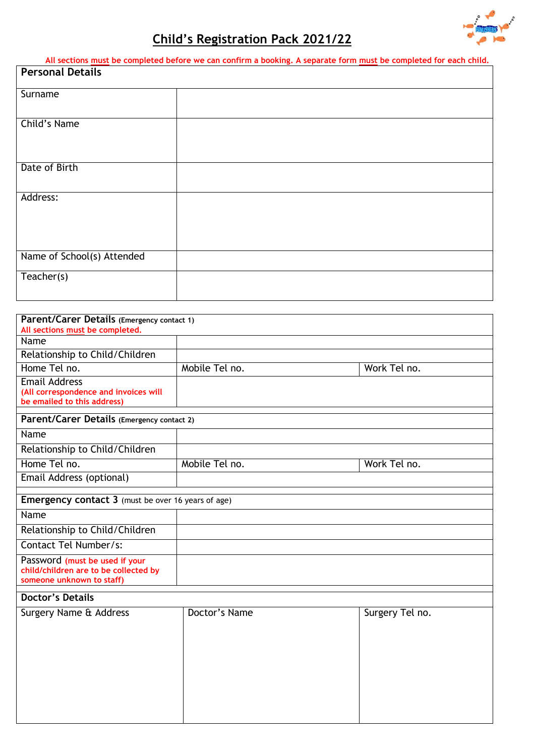

# **Child's Registration Pack 2021/22**

|                                                                                                   | All sections must be completed before we can confirm a booking. A separate form must be completed for each child. |
|---------------------------------------------------------------------------------------------------|-------------------------------------------------------------------------------------------------------------------|
| <b>Personal Details</b>                                                                           |                                                                                                                   |
|                                                                                                   |                                                                                                                   |
| Surname                                                                                           |                                                                                                                   |
|                                                                                                   |                                                                                                                   |
|                                                                                                   |                                                                                                                   |
| Child's Name                                                                                      |                                                                                                                   |
|                                                                                                   |                                                                                                                   |
|                                                                                                   |                                                                                                                   |
| Date of Birth                                                                                     |                                                                                                                   |
|                                                                                                   |                                                                                                                   |
|                                                                                                   |                                                                                                                   |
| Address:                                                                                          |                                                                                                                   |
|                                                                                                   |                                                                                                                   |
|                                                                                                   |                                                                                                                   |
|                                                                                                   |                                                                                                                   |
|                                                                                                   |                                                                                                                   |
| Name of School(s) Attended                                                                        |                                                                                                                   |
| Teacher(s)                                                                                        |                                                                                                                   |
|                                                                                                   |                                                                                                                   |
|                                                                                                   |                                                                                                                   |
|                                                                                                   |                                                                                                                   |
| Parent/Carer Details (Emergency contact 1)<br>All an additional proceeds have a second lateral of |                                                                                                                   |

| All sections must be completed.                                      |                |                 |
|----------------------------------------------------------------------|----------------|-----------------|
| Name                                                                 |                |                 |
| Relationship to Child/Children                                       |                |                 |
| Home Tel no.                                                         | Mobile Tel no. | Work Tel no.    |
| <b>Email Address</b>                                                 |                |                 |
| (All correspondence and invoices will<br>be emailed to this address) |                |                 |
|                                                                      |                |                 |
| Parent/Carer Details (Emergency contact 2)                           |                |                 |
| Name                                                                 |                |                 |
| Relationship to Child/Children                                       |                |                 |
| Home Tel no.                                                         | Mobile Tel no. | Work Tel no.    |
| Email Address (optional)                                             |                |                 |
| <b>Emergency contact 3</b> (must be over 16 years of age)            |                |                 |
|                                                                      |                |                 |
| Name                                                                 |                |                 |
| Relationship to Child/Children                                       |                |                 |
| Contact Tel Number/s:                                                |                |                 |
| Password (must be used if your                                       |                |                 |
| child/children are to be collected by<br>someone unknown to staff)   |                |                 |
| <b>Doctor's Details</b>                                              |                |                 |
|                                                                      |                |                 |
| Surgery Name & Address                                               | Doctor's Name  | Surgery Tel no. |
|                                                                      |                |                 |
|                                                                      |                |                 |
|                                                                      |                |                 |
|                                                                      |                |                 |
|                                                                      |                |                 |
|                                                                      |                |                 |
|                                                                      |                |                 |
|                                                                      |                |                 |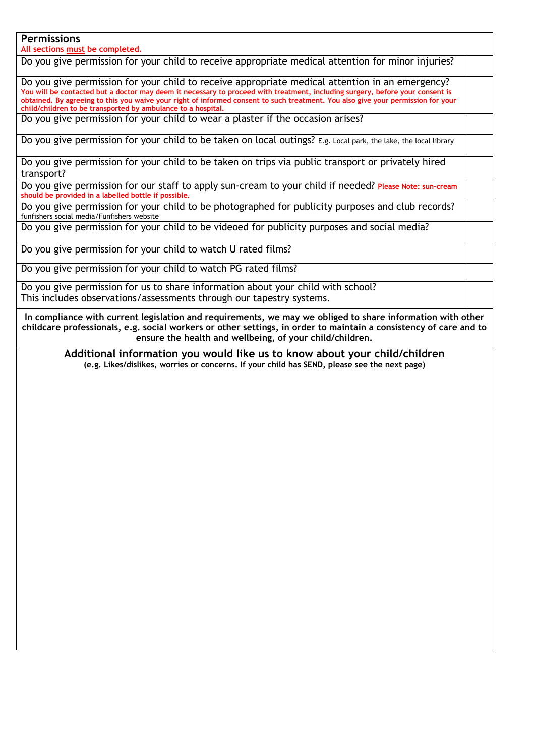#### **Permissions**

**All sections must be completed.** 

Do you give permission for your child to receive appropriate medical attention for minor injuries? Do you give permission for your child to receive appropriate medical attention in an emergency? **You will be contacted but a doctor may deem it necessary to proceed with treatment, including surgery, before your consent is obtained. By agreeing to this you waive your right of informed consent to such treatment. You also give your permission for your child/children to be transported by ambulance to a hospital.** Do you give permission for your child to wear a plaster if the occasion arises? Do you give permission for your child to be taken on local outings? E.g. Local park, the lake, the local library Do you give permission for your child to be taken on trips via public transport or privately hired transport? Do you give permission for our staff to apply sun-cream to your child if needed? **Please Note: sun-cream should be provided in a labelled bottle if possible.** Do you give permission for your child to be photographed for publicity purposes and club records? funfishers social media/Funfishers website Do you give permission for your child to be videoed for publicity purposes and social media? Do you give permission for your child to watch U rated films? Do you give permission for your child to watch PG rated films? Do you give permission for us to share information about your child with school? This includes observations/assessments through our tapestry systems. **In compliance with current legislation and requirements, we may we obliged to share information with other childcare professionals, e.g. social workers or other settings, in order to maintain a consistency of care and to ensure the health and wellbeing, of your child/children. Additional information you would like us to know about your child/children**

**(e.g. Likes/dislikes, worries or concerns. If your child has SEND, please see the next page)**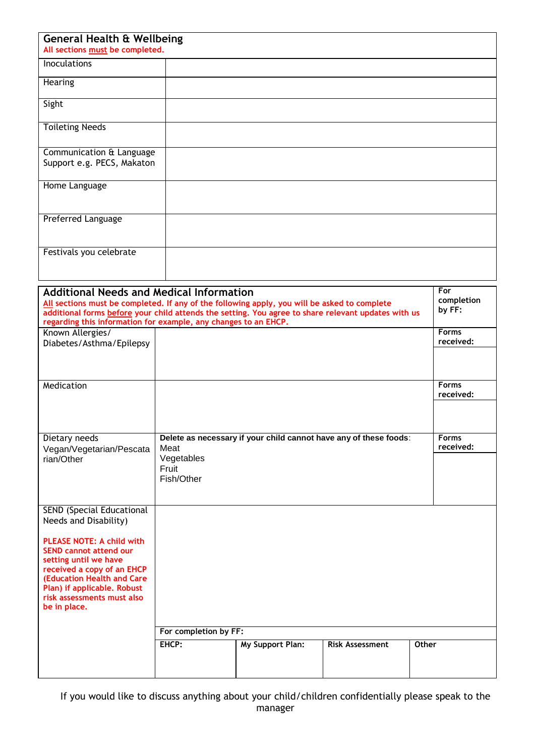| <b>General Health &amp; Wellbeing</b><br>All sections must be completed. |  |  |
|--------------------------------------------------------------------------|--|--|
| <b>Inoculations</b>                                                      |  |  |
| Hearing                                                                  |  |  |
| Sight                                                                    |  |  |
| <b>Toileting Needs</b>                                                   |  |  |
| Communication & Language<br>Support e.g. PECS, Makaton                   |  |  |
| Home Language                                                            |  |  |
| Preferred Language                                                       |  |  |
| Festivals you celebrate                                                  |  |  |

| <b>Additional Needs and Medical Information</b>                                                               |                       |                  |                                                                   | For          |
|---------------------------------------------------------------------------------------------------------------|-----------------------|------------------|-------------------------------------------------------------------|--------------|
| All sections must be completed. If any of the following apply, you will be asked to complete                  |                       |                  |                                                                   | completion   |
| by FF:<br>additional forms before your child attends the setting. You agree to share relevant updates with us |                       |                  |                                                                   |              |
| regarding this information for example, any changes to an EHCP.                                               |                       |                  |                                                                   |              |
| Known Allergies/                                                                                              |                       |                  |                                                                   | <b>Forms</b> |
| Diabetes/Asthma/Epilepsy                                                                                      |                       |                  |                                                                   | received:    |
|                                                                                                               |                       |                  |                                                                   |              |
|                                                                                                               |                       |                  |                                                                   |              |
|                                                                                                               |                       |                  |                                                                   | <b>Forms</b> |
| Medication                                                                                                    |                       |                  |                                                                   | received:    |
|                                                                                                               |                       |                  |                                                                   |              |
|                                                                                                               |                       |                  |                                                                   |              |
|                                                                                                               |                       |                  |                                                                   |              |
| Dietary needs                                                                                                 |                       |                  | Delete as necessary if your child cannot have any of these foods: | <b>Forms</b> |
| Vegan/Vegetarian/Pescata                                                                                      | Meat                  |                  |                                                                   | received:    |
| rian/Other                                                                                                    | Vegetables            |                  |                                                                   |              |
|                                                                                                               | Fruit                 |                  |                                                                   |              |
|                                                                                                               | Fish/Other            |                  |                                                                   |              |
|                                                                                                               |                       |                  |                                                                   |              |
|                                                                                                               |                       |                  |                                                                   |              |
| SEND (Special Educational                                                                                     |                       |                  |                                                                   |              |
| Needs and Disability)                                                                                         |                       |                  |                                                                   |              |
|                                                                                                               |                       |                  |                                                                   |              |
| <b>PLEASE NOTE: A child with</b>                                                                              |                       |                  |                                                                   |              |
| <b>SEND cannot attend our</b>                                                                                 |                       |                  |                                                                   |              |
| setting until we have                                                                                         |                       |                  |                                                                   |              |
| received a copy of an EHCP<br>(Education Health and Care                                                      |                       |                  |                                                                   |              |
| Plan) if applicable. Robust                                                                                   |                       |                  |                                                                   |              |
| risk assessments must also                                                                                    |                       |                  |                                                                   |              |
| be in place.                                                                                                  |                       |                  |                                                                   |              |
|                                                                                                               |                       |                  |                                                                   |              |
|                                                                                                               | For completion by FF: |                  |                                                                   |              |
|                                                                                                               | EHCP:                 | My Support Plan: | <b>Risk Assessment</b>                                            | Other        |
|                                                                                                               |                       |                  |                                                                   |              |
|                                                                                                               |                       |                  |                                                                   |              |
|                                                                                                               |                       |                  |                                                                   |              |

If you would like to discuss anything about your child/children confidentially please speak to the manager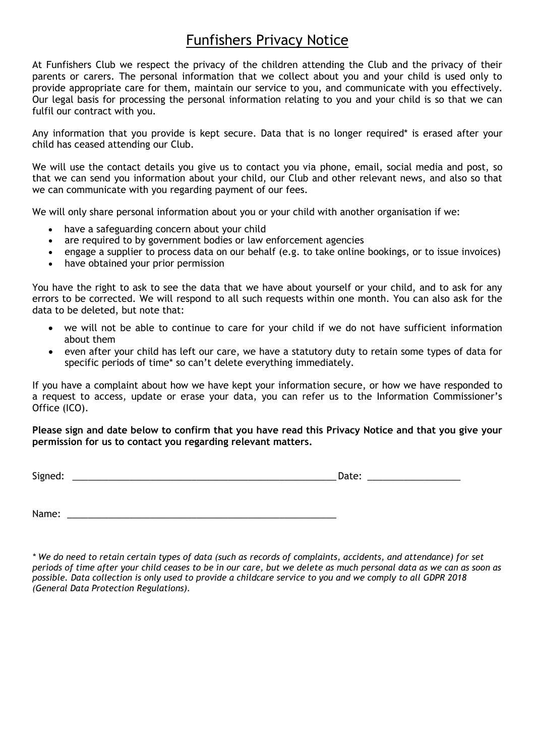### Funfishers Privacy Notice

At Funfishers Club we respect the privacy of the children attending the Club and the privacy of their parents or carers. The personal information that we collect about you and your child is used only to provide appropriate care for them, maintain our service to you, and communicate with you effectively. Our legal basis for processing the personal information relating to you and your child is so that we can fulfil our contract with you.

Any information that you provide is kept secure. Data that is no longer required\* is erased after your child has ceased attending our Club.

We will use the contact details you give us to contact you via phone, email, social media and post, so that we can send you information about your child, our Club and other relevant news, and also so that we can communicate with you regarding payment of our fees.

We will only share personal information about you or your child with another organisation if we:

- have a safeguarding concern about your child
- are required to by government bodies or law enforcement agencies
- engage a supplier to process data on our behalf (e.g. to take online bookings, or to issue invoices)
- have obtained your prior permission

You have the right to ask to see the data that we have about yourself or your child, and to ask for any errors to be corrected. We will respond to all such requests within one month. You can also ask for the data to be deleted, but note that:

- we will not be able to continue to care for your child if we do not have sufficient information about them
- even after your child has left our care, we have a statutory duty to retain some types of data for specific periods of time\* so can't delete everything immediately.

If you have a complaint about how we have kept your information secure, or how we have responded to a request to access, update or erase your data, you can refer us to the Information Commissioner's Office (ICO).

**Please sign and date below to confirm that you have read this Privacy Notice and that you give your permission for us to contact you regarding relevant matters.**

Signed: \_\_\_\_\_\_\_\_\_\_\_\_\_\_\_\_\_\_\_\_\_\_\_\_\_\_\_\_\_\_\_\_\_\_\_\_\_\_\_\_\_\_\_\_\_\_\_\_\_\_\_ Date: \_\_\_\_\_\_\_\_\_\_\_\_\_\_\_\_\_\_

Name: \_\_\_\_\_\_\_\_\_\_\_\_\_\_\_\_\_\_\_\_\_\_\_\_\_\_\_\_\_\_\_\_\_\_\_\_\_\_\_\_\_\_\_\_\_\_\_\_\_\_\_\_

*\* We do need to retain certain types of data (such as records of complaints, accidents, and attendance) for set periods of time after your child ceases to be in our care, but we delete as much personal data as we can as soon as possible. Data collection is only used to provide a childcare service to you and we comply to all GDPR 2018 (General Data Protection Regulations).*